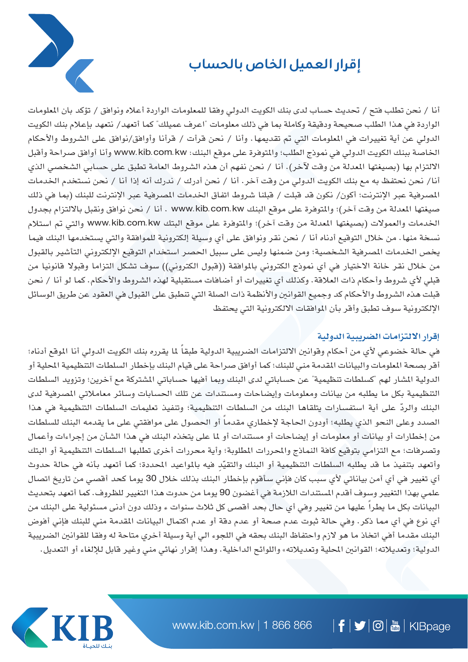

## **إقرار العميل الخاص بالحساب**

أنا / نحن تطلب فتح / حتديث حساب لدى بنك الكويت الدولي وفقا للمعلومات الواردة أعاله ونوافق / تؤكد بان املعلومات الواردة في هذا الطلب صحيحة ودقيقة وكاملة بما في ذلك معلومات "اعرف عميلك" كما أتعهد/ نتعهد بإعلام بنك الكويت الدولي عن أية تغييرات في الملومات التي تم تقديمها. وأنا / نحن قرأت / قرأنا وأوافق/نوافق على الشروط والأحكام اخلاصة ببنك الكويت الدولي في منوذج الطلب؛ واملتوفرة على موقع البنك: kw.com.kib.www وأنا أوافق صراحة وأقبل الالتزام بها (بصيغتها المعدلة من وقت لآخر). أنا / نحن نفهم أن هذه الشروط العامة تطبق على حسابي الشخصي الذي أنا/ نحن نحتفظ به مع بنك الكويت الدولي من وقت آخر. أنا / نحن أدرك / ندرك أنه إذا أنا / نحن نستخدم اخلدمات المصرفية عبر الإنترنت؛ أكون/ نكون قد قبلت / قبلنا شروط اتفاق الخدمات المصرفية عبر الإنترنت للبنك (بما في ذلك صيغتها المعدلة من وقت آخر)؛ والمتوفرة على موقع البنك www.kib.com.kw . أنا / نحن نوافق ونقبل بالالتزام بجدول الخدمات والعمولات (بصيغتها المعدلة من وقت آخر)؛ والمتوفرة على موقع البتك www.kib.com.kw والتي تم استلام نسخة منها. من خالل التوقيع أدناه أنا / نحن نقر ونوافق على أي وسيلة إلكترونية للموافقة والتي يستخدمها البنك فيما يخص الخدمات المصرفية الشخصية؛ ومن ضمنها وليس على سبيل الحصر استخدام التوقيع الإلكتروني التأشير بالقبول من خلال نقر خانة الاختيار في أي نموذج الكتروني بالموافقة ((قبول الكتروني)) سوف تشكل التزاما وقبولا قانونيا من قبلي لأي شروط وأحكام ذات العلاقة. وكذلك أي تغييرات أو أضافات مستقبلية لهذه الشروط والأحكام. كما لو أنا / نحن قبلت هذه الشروط والأحكام كد وجميع القوانين والأنظمة ذات الصلة التي تنطبق على القبول في العقود عن طريق الوسائل الإلكترونية سوف تطبق وأقر بأن الموافقات الالكترونية التي يحتفظ

## **إقرار االلتزامات الضريبية الدولية**

في حالة خضوعي لأي من أحكام وقوانين الالتزامات الضريبية الدولية طبقاً لما يقرره بنك الكويت الدولي أنا الموقع أدناه؛ أقر بصحة الملومات والبيانات المقدمة مني للبنك؛ كما أوافق صراحة على قيام البنك بإخطار السلطات التنظيمية الحلية أو الدولية المشار لهم "كسلطات تنظيمية" عن حساباتي لدى البنك وبما أفيها حساباتي المشتركة مع آخرين؛ وتزويد السلطات التنظيمية بكل ما يطلبه من بيانات ومعلومات وإيضاحات ومستندات عن تلك الحسابات وسائر معاملاتي المصرفية لدى ّ البنك والرد على أية استفسارات يتلقاها البنك من السلطات التنظيمية؛ وتنفيذ تعليمات السلطات التنظيمية في هذا الصدد وعلى النحو الذي يطلبه؛ أودون الحاجة لإخطاري مقدماً أو الحصول على موافقتي على ما يقدمه البنك للسلطات من إخطارات أو بيانات أو معلومات أو إيضاحات أو مستندات أو ملا على يتخذه البنك في هذا الشأن من إجراءات وأعمال وتصرفات؛ مع التزامي بتوقيع كافة النماذج والمحررات المطلوبة؛ وأية محررات أخرى تطلبها السلطات التنظيمية أو البتك وأتعهد بتنفيذ ما قد يطلبه السلطات التنظيمية أو البنك والتقيّد فيه بالمواعيد المحددة؛ كما أتعهد بأنه في حالة حدوث أي تغيير في أي أمن بياناتي ألي سبب كان فإني سأقوم بإخطار البنك بذلك خالل 30 يوما كحد أقصي من تاريخ اتصال علمي بهذا التغيير وسوف أقدم املستندات الالزمة في أغضون 90 يوما من حدوت هذا التغيير للظروف. كما أتعهد بتحديث البيانات بكل ما يطراً عليها من تغيير وفي أي حال بحد أقصى كل ثلاث سنوات ء وذلك دون أدنى مسئولية على البنك من أي نوع في أي مما ذكر. وفي حالة ثبوت عدم صحة أو عدم دقة أو عدم اكتمال البيانات املقدمة مني للبنك فإني أفوض البنك مقدما أفي اتخاذ ما هو الزم واحتفاظ البنك بحقه في اللجوء الي أية وسيلة أخري متاحة له وفقا للقوانني الضريبية الدولية؛ وتعديلاته؛ القوانين المحلية وتعديلاته» واللوائح الداخلية. وهذا إقرار نهائي مني وغير قابل للإلغاء أو التعديل.